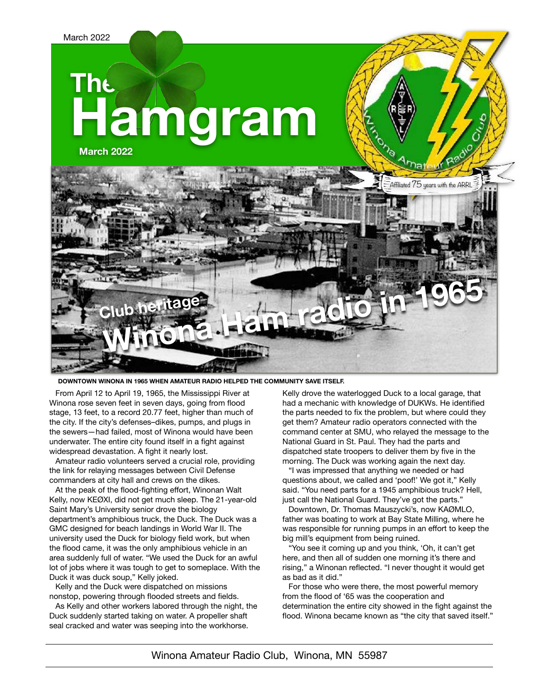# **The Hamgram**

**March 2022**



#### **DOWNTOWN WINONA IN 1965 WHEN AMATEUR RADIO HELPED THE COMMUNITY SAVE ITSELF.**

From April 12 to April 19, 1965, the Mississippi River at Winona rose seven feet in seven days, going from flood stage, 13 feet, to a record 20.77 feet, higher than much of the city. If the city's defenses–dikes, pumps, and plugs in the sewers—had failed, most of Winona would have been underwater. The entire city found itself in a fight against widespread devastation. A fight it nearly lost.

Amateur radio volunteers served a crucial role, providing the link for relaying messages between Civil Defense commanders at city hall and crews on the dikes.

At the peak of the flood-fighting effort, Winonan Walt Kelly, now KEØXI, did not get much sleep. The 21-year-old Saint Mary's University senior drove the biology department's amphibious truck, the Duck. The Duck was a GMC designed for beach landings in World War II. The university used the Duck for biology field work, but when the flood came, it was the only amphibious vehicle in an area suddenly full of water. "We used the Duck for an awful lot of jobs where it was tough to get to someplace. With the Duck it was duck soup," Kelly joked.

Kelly and the Duck were dispatched on missions nonstop, powering through flooded streets and fields.

As Kelly and other workers labored through the night, the Duck suddenly started taking on water. A propeller shaft seal cracked and water was seeping into the workhorse.

Kelly drove the waterlogged Duck to a local garage, that had a mechanic with knowledge of DUKWs. He identified the parts needed to fix the problem, but where could they get them? Amateur radio operators connected with the command center at SMU, who relayed the message to the National Guard in St. Paul. They had the parts and dispatched state troopers to deliver them by five in the morning. The Duck was working again the next day.

"I was impressed that anything we needed or had questions about, we called and 'poof!' We got it," Kelly said. "You need parts for a 1945 amphibious truck? Hell, just call the National Guard. They've got the parts."

Downtown, Dr. Thomas Mauszycki's, now KAØMLO, father was boating to work at Bay State Milling, where he was responsible for running pumps in an effort to keep the big mill's equipment from being ruined.

"You see it coming up and you think, 'Oh, it can't get here, and then all of sudden one morning it's there and rising," a Winonan reflected. "I never thought it would get as bad as it did."

For those who were there, the most powerful memory from the flood of '65 was the cooperation and determination the entire city showed in the fight against the flood. Winona became known as "the city that saved itself."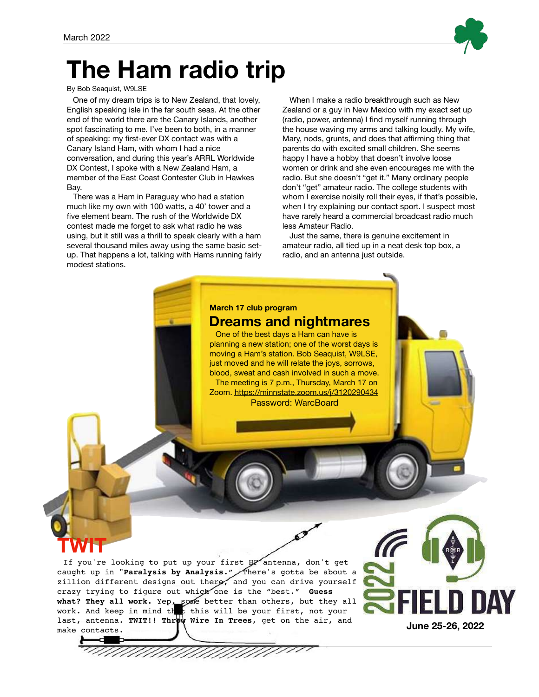## **The Ham radio trip**

#### By Bob Seaquist, W9LSE

One of my dream trips is to New Zealand, that lovely, English speaking isle in the far south seas. At the other end of the world there are the Canary Islands, another spot fascinating to me. I've been to both, in a manner of speaking: my first-ever DX contact was with a Canary Island Ham, with whom I had a nice conversation, and during this year's ARRL Worldwide DX Contest, I spoke with a New Zealand Ham, a member of the East Coast Contester Club in Hawkes Bay.

There was a Ham in Paraguay who had a station much like my own with 100 watts, a 40' tower and a five element beam. The rush of the Worldwide DX contest made me forget to ask what radio he was using, but it still was a thrill to speak clearly with a ham several thousand miles away using the same basic setup. That happens a lot, talking with Hams running fairly modest stations.

When I make a radio breakthrough such as New Zealand or a guy in New Mexico with my exact set up (radio, power, antenna) I find myself running through the house waving my arms and talking loudly. My wife, Mary, nods, grunts, and does that affirming thing that parents do with excited small children. She seems happy I have a hobby that doesn't involve loose women or drink and she even encourages me with the radio. But she doesn't "get it." Many ordinary people don't "get" amateur radio. The college students with whom I exercise noisily roll their eyes, if that's possible, when I try explaining our contact sport. I suspect most have rarely heard a commercial broadcast radio much less Amateur Radio.

Just the same, there is genuine excitement in amateur radio, all tied up in a neat desk top box, a radio, and an antenna just outside.

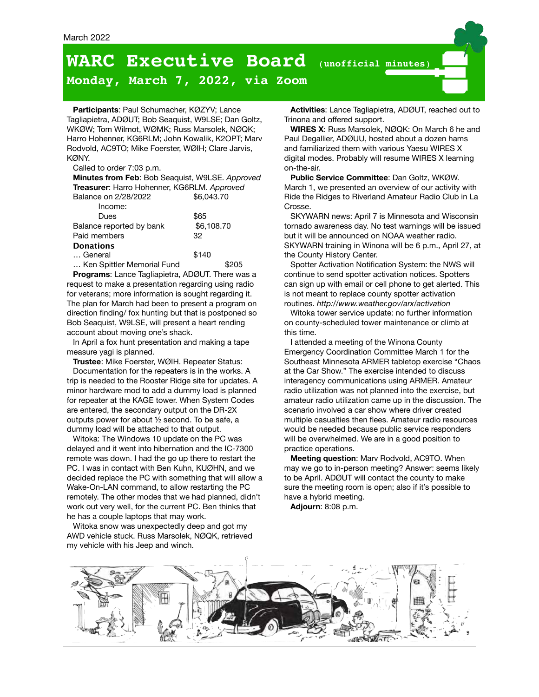## **WARC Executive Board** (**unofficial minutes**)

### **Monday, March 7, 2022, via Zoom**

**Participants**: Paul Schumacher, KØZYV; Lance Tagliapietra, ADØUT; Bob Seaquist, W9LSE; Dan Goltz, WKØW; Tom Wilmot, WØMK; Russ Marsolek, NØQK; Harro Hohenner, KG6RLM; John Kowalik, K2OPT; Marv Rodvold, AC9TO; Mike Foerster, WØIH; Clare Jarvis, KØNY.

#### Called to order 7:03 p.m.

**Minutes from Feb**: Bob Seaquist, W9LSE. *Approved* **Treasurer**: Harro Hohenner, KG6RLM. *Approved* Balance on 2/28/2022 \$6,043.70 Income: Dues \$65 Balance reported by bank \$6,108.70 Paid members 32 **Donations** … General **\$140** ... Ken Spittler Memorial Fund **\$205** 

**Programs**: Lance Tagliapietra, ADØUT. There was a request to make a presentation regarding using radio for veterans; more information is sought regarding it. The plan for March had been to present a program on direction finding/ fox hunting but that is postponed so Bob Seaquist, W9LSE, will present a heart rending account about moving one's shack.

In April a fox hunt presentation and making a tape measure yagi is planned.

**Trustee**: Mike Foerster, WØIH. Repeater Status:

Documentation for the repeaters is in the works. A trip is needed to the Rooster Ridge site for updates. A minor hardware mod to add a dummy load is planned for repeater at the KAGE tower. When System Codes are entered, the secondary output on the DR-2X outputs power for about ½ second. To be safe, a dummy load will be attached to that output.

Witoka: The Windows 10 update on the PC was delayed and it went into hibernation and the IC-7300 remote was down. I had the go up there to restart the PC. I was in contact with Ben Kuhn, KUØHN, and we decided replace the PC with something that will allow a Wake-On-LAN command, to allow restarting the PC remotely. The other modes that we had planned, didn't work out very well, for the current PC. Ben thinks that he has a couple laptops that may work.

Witoka snow was unexpectedly deep and got my AWD vehicle stuck. Russ Marsolek, NØQK, retrieved my vehicle with his Jeep and winch.

**Activities**: Lance Tagliapietra, ADØUT, reached out to Trinona and offered support.

**WIRES X**: Russ Marsolek, NØQK: On March 6 he and Paul Degallier, ADØUU, hosted about a dozen hams and familiarized them with various Yaesu WIRES X digital modes. Probably will resume WIRES X learning on-the-air.

**Public Service Committee**: Dan Goltz, WKØW. March 1, we presented an overview of our activity with Ride the Ridges to Riverland Amateur Radio Club in La Crosse.

SKYWARN news: April 7 is Minnesota and Wisconsin tornado awareness day. No test warnings will be issued but it will be announced on NOAA weather radio. SKYWARN training in Winona will be 6 p.m., April 27, at the County History Center.

Spotter Activation Notification System: the NWS will continue to send spotter activation notices. Spotters can sign up with email or cell phone to get alerted. This is not meant to replace county spotter activation routines.*<http://www.weather.gov/arx/activation>*

Witoka tower service update: no further information on county-scheduled tower maintenance or climb at this time.

I attended a meeting of the Winona County Emergency Coordination Committee March 1 for the Southeast Minnesota ARMER tabletop exercise "Chaos at the Car Show." The exercise intended to discuss interagency communications using ARMER. Amateur radio utilization was not planned into the exercise, but amateur radio utilization came up in the discussion. The scenario involved a car show where driver created multiple casualties then flees. Amateur radio resources would be needed because public service responders will be overwhelmed. We are in a good position to practice operations.

**Meeting question**: Marv Rodvold, AC9TO. When may we go to in-person meeting? Answer: seems likely to be April. ADØUT will contact the county to make sure the meeting room is open; also if it's possible to have a hybrid meeting.

**Adjourn**: 8:08 p.m.